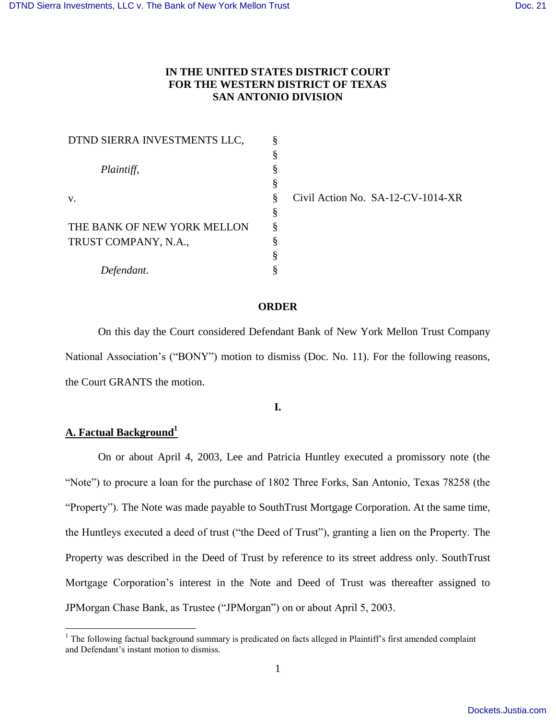# **IN THE UNITED STATES DISTRICT COURT FOR THE WESTERN DISTRICT OF TEXAS SAN ANTONIO DIVISION**

| DTND SIERRA INVESTMENTS LLC, | ş |
|------------------------------|---|
|                              | § |
| Plaintiff,                   | § |
|                              | § |
| v.                           | § |
|                              | § |
| THE BANK OF NEW YORK MELLON  | § |
| TRUST COMPANY, N.A.,         | § |
|                              | § |
| Defendant.                   | § |

Civil Action No. SA-12-CV-1014-XR

# **ORDER**

On this day the Court considered Defendant Bank of New York Mellon Trust Company National Association's ("BONY") motion to dismiss (Doc. No. 11). For the following reasons, the Court GRANTS the motion.

**I.**

# **A. Factual Background<sup>1</sup>**

 $\overline{a}$ 

On or about April 4, 2003, Lee and Patricia Huntley executed a promissory note (the "Note") to procure a loan for the purchase of 1802 Three Forks, San Antonio, Texas 78258 (the "Property"). The Note was made payable to SouthTrust Mortgage Corporation. At the same time, the Huntleys executed a deed of trust ("the Deed of Trust"), granting a lien on the Property. The Property was described in the Deed of Trust by reference to its street address only. SouthTrust Mortgage Corporation"s interest in the Note and Deed of Trust was thereafter assigned to JPMorgan Chase Bank, as Trustee ("JPMorgan") on or about April 5, 2003.

 $1$  The following factual background summary is predicated on facts alleged in Plaintiff's first amended complaint and Defendant"s instant motion to dismiss.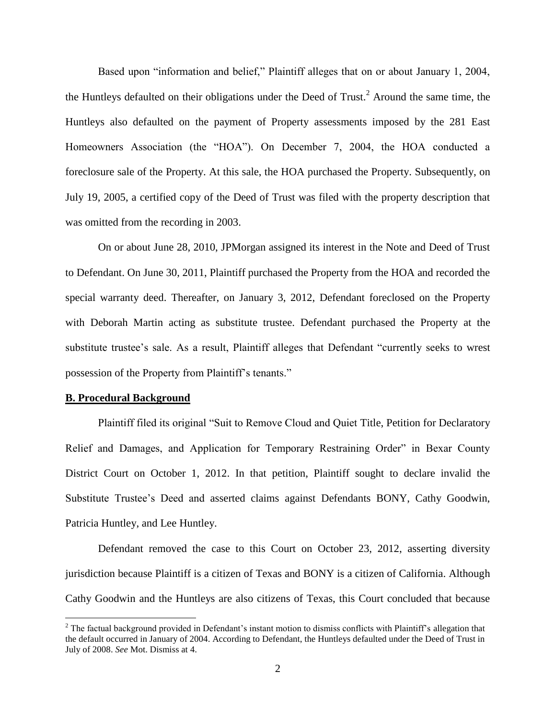Based upon "information and belief," Plaintiff alleges that on or about January 1, 2004, the Huntleys defaulted on their obligations under the Deed of Trust.<sup>2</sup> Around the same time, the Huntleys also defaulted on the payment of Property assessments imposed by the 281 East Homeowners Association (the "HOA"). On December 7, 2004, the HOA conducted a foreclosure sale of the Property. At this sale, the HOA purchased the Property. Subsequently, on July 19, 2005, a certified copy of the Deed of Trust was filed with the property description that was omitted from the recording in 2003.

On or about June 28, 2010, JPMorgan assigned its interest in the Note and Deed of Trust to Defendant. On June 30, 2011, Plaintiff purchased the Property from the HOA and recorded the special warranty deed. Thereafter, on January 3, 2012, Defendant foreclosed on the Property with Deborah Martin acting as substitute trustee. Defendant purchased the Property at the substitute trustee"s sale. As a result, Plaintiff alleges that Defendant "currently seeks to wrest possession of the Property from Plaintiff"s tenants."

#### **B. Procedural Background**

 $\overline{a}$ 

Plaintiff filed its original "Suit to Remove Cloud and Quiet Title, Petition for Declaratory Relief and Damages, and Application for Temporary Restraining Order" in Bexar County District Court on October 1, 2012. In that petition, Plaintiff sought to declare invalid the Substitute Trustee's Deed and asserted claims against Defendants BONY, Cathy Goodwin, Patricia Huntley, and Lee Huntley.

Defendant removed the case to this Court on October 23, 2012, asserting diversity jurisdiction because Plaintiff is a citizen of Texas and BONY is a citizen of California. Although Cathy Goodwin and the Huntleys are also citizens of Texas, this Court concluded that because

<sup>&</sup>lt;sup>2</sup> The factual background provided in Defendant's instant motion to dismiss conflicts with Plaintiff's allegation that the default occurred in January of 2004. According to Defendant, the Huntleys defaulted under the Deed of Trust in July of 2008. *See* Mot. Dismiss at 4.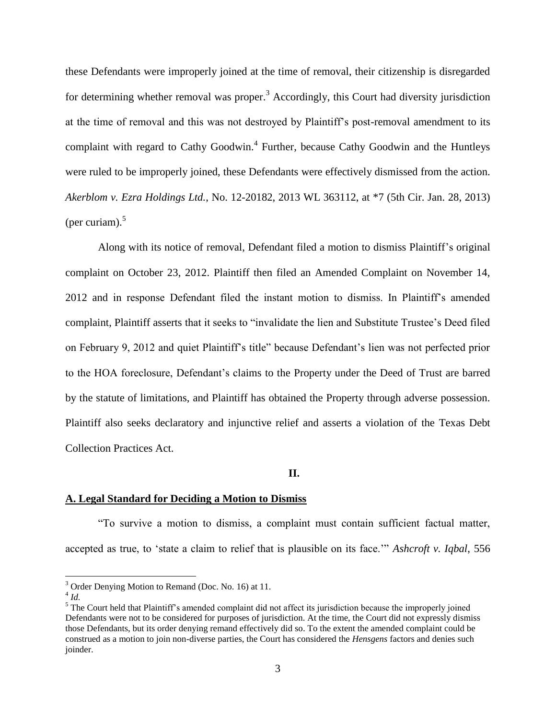these Defendants were improperly joined at the time of removal, their citizenship is disregarded for determining whether removal was proper.<sup>3</sup> Accordingly, this Court had diversity jurisdiction at the time of removal and this was not destroyed by Plaintiff"s post-removal amendment to its complaint with regard to Cathy Goodwin.<sup>4</sup> Further, because Cathy Goodwin and the Huntleys were ruled to be improperly joined, these Defendants were effectively dismissed from the action. *Akerblom v. Ezra Holdings Ltd.*, No. 12-20182, 2013 WL 363112, at \*7 (5th Cir. Jan. 28, 2013) (per curiam). 5

Along with its notice of removal, Defendant filed a motion to dismiss Plaintiff"s original complaint on October 23, 2012. Plaintiff then filed an Amended Complaint on November 14, 2012 and in response Defendant filed the instant motion to dismiss. In Plaintiff"s amended complaint, Plaintiff asserts that it seeks to "invalidate the lien and Substitute Trustee"s Deed filed on February 9, 2012 and quiet Plaintiff"s title" because Defendant"s lien was not perfected prior to the HOA foreclosure, Defendant"s claims to the Property under the Deed of Trust are barred by the statute of limitations, and Plaintiff has obtained the Property through adverse possession. Plaintiff also seeks declaratory and injunctive relief and asserts a violation of the Texas Debt Collection Practices Act.

#### **II.**

#### **A. Legal Standard for Deciding a Motion to Dismiss**

"To survive a motion to dismiss, a complaint must contain sufficient factual matter, accepted as true, to "state a claim to relief that is plausible on its face."" *Ashcroft v. Iqbal*, 556

<sup>&</sup>lt;sup>3</sup> Order Denying Motion to Remand (Doc. No. 16) at 11.

<sup>4</sup> *Id.*

<sup>&</sup>lt;sup>5</sup> The Court held that Plaintiff's amended complaint did not affect its jurisdiction because the improperly joined Defendants were not to be considered for purposes of jurisdiction. At the time, the Court did not expressly dismiss those Defendants, but its order denying remand effectively did so. To the extent the amended complaint could be construed as a motion to join non-diverse parties, the Court has considered the *Hensgens* factors and denies such joinder.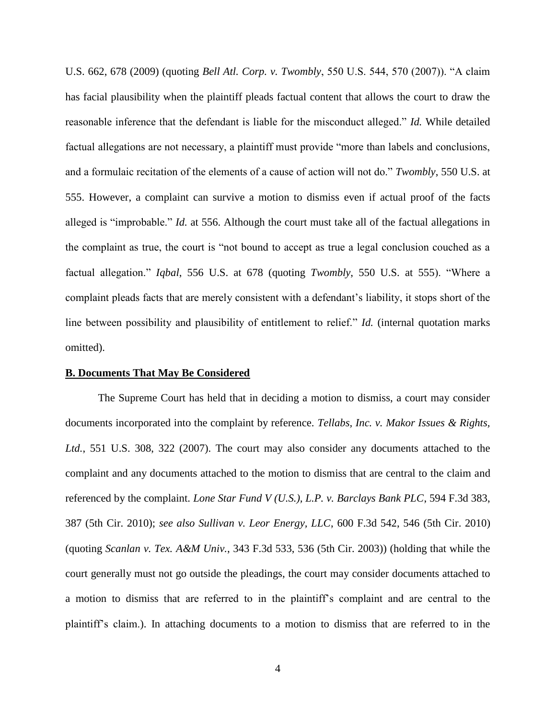U.S. 662, 678 (2009) (quoting *Bell Atl. Corp. v. Twombly*, 550 U.S. 544, 570 (2007)). "A claim has facial plausibility when the plaintiff pleads factual content that allows the court to draw the reasonable inference that the defendant is liable for the misconduct alleged." *Id.* While detailed factual allegations are not necessary, a plaintiff must provide "more than labels and conclusions, and a formulaic recitation of the elements of a cause of action will not do." *Twombly*, 550 U.S. at 555. However, a complaint can survive a motion to dismiss even if actual proof of the facts alleged is "improbable." *Id.* at 556. Although the court must take all of the factual allegations in the complaint as true, the court is "not bound to accept as true a legal conclusion couched as a factual allegation." *Iqbal*, 556 U.S. at 678 (quoting *Twombly*, 550 U.S. at 555). "Where a complaint pleads facts that are merely consistent with a defendant"s liability, it stops short of the line between possibility and plausibility of entitlement to relief." *Id.* (internal quotation marks omitted).

### **B. Documents That May Be Considered**

The Supreme Court has held that in deciding a motion to dismiss, a court may consider documents incorporated into the complaint by reference. *Tellabs, Inc. v. Makor Issues & Rights, Ltd.*, 551 U.S. 308, 322 (2007). The court may also consider any documents attached to the complaint and any documents attached to the motion to dismiss that are central to the claim and referenced by the complaint. *Lone Star Fund V (U.S.), L.P. v. Barclays Bank PLC*, 594 F.3d 383, 387 (5th Cir. 2010); *see also Sullivan v. Leor Energy, LLC*, 600 F.3d 542, 546 (5th Cir. 2010) (quoting *Scanlan v. Tex. A&M Univ.*, 343 F.3d 533, 536 (5th Cir. 2003)) (holding that while the court generally must not go outside the pleadings, the court may consider documents attached to a motion to dismiss that are referred to in the plaintiff"s complaint and are central to the plaintiff"s claim.). In attaching documents to a motion to dismiss that are referred to in the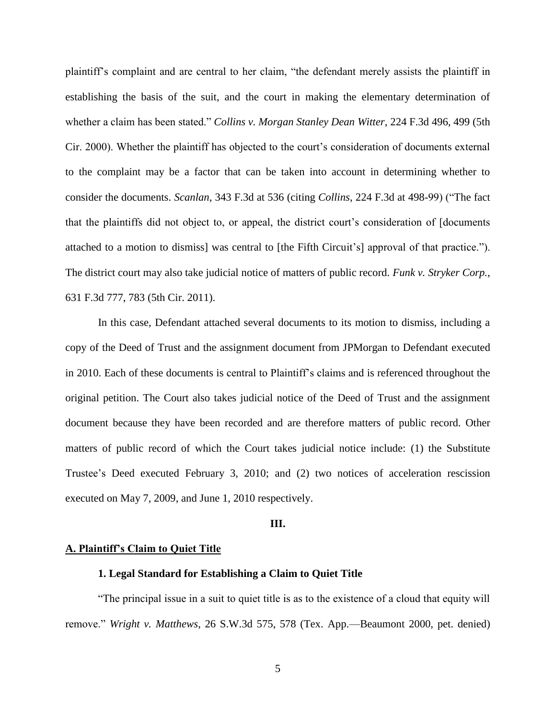plaintiff"s complaint and are central to her claim, "the defendant merely assists the plaintiff in establishing the basis of the suit, and the court in making the elementary determination of whether a claim has been stated." *Collins v. Morgan Stanley Dean Witter*, 224 F.3d 496, 499 (5th Cir. 2000). Whether the plaintiff has objected to the court"s consideration of documents external to the complaint may be a factor that can be taken into account in determining whether to consider the documents. *Scanlan*, 343 F.3d at 536 (citing *Collins*, 224 F.3d at 498-99) ("The fact that the plaintiffs did not object to, or appeal, the district court's consideration of [documents] attached to a motion to dismiss] was central to [the Fifth Circuit's] approval of that practice."). The district court may also take judicial notice of matters of public record. *Funk v. Stryker Corp.*, 631 F.3d 777, 783 (5th Cir. 2011).

In this case, Defendant attached several documents to its motion to dismiss, including a copy of the Deed of Trust and the assignment document from JPMorgan to Defendant executed in 2010. Each of these documents is central to Plaintiff"s claims and is referenced throughout the original petition. The Court also takes judicial notice of the Deed of Trust and the assignment document because they have been recorded and are therefore matters of public record. Other matters of public record of which the Court takes judicial notice include: (1) the Substitute Trustee"s Deed executed February 3, 2010; and (2) two notices of acceleration rescission executed on May 7, 2009, and June 1, 2010 respectively.

#### **III.**

#### **A. Plaintiff's Claim to Quiet Title**

### **1. Legal Standard for Establishing a Claim to Quiet Title**

"The principal issue in a suit to quiet title is as to the existence of a cloud that equity will remove." *Wright v. Matthews*, 26 S.W.3d 575, 578 (Tex. App.—Beaumont 2000, pet. denied)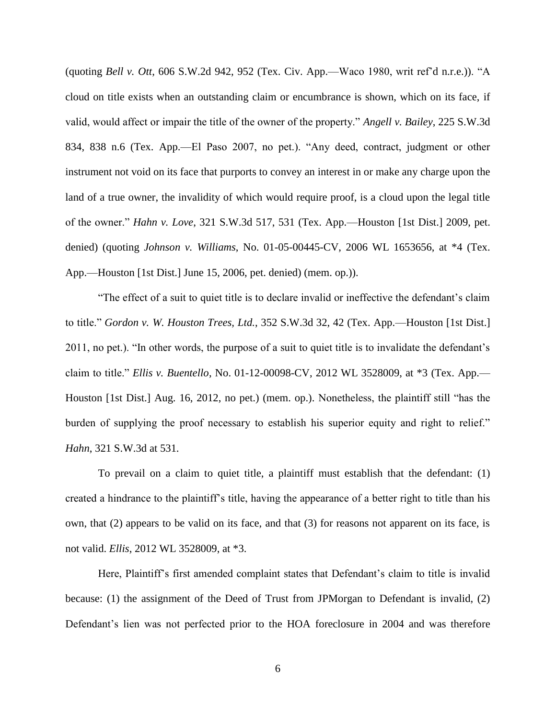(quoting *Bell v. Ott*, 606 S.W.2d 942, 952 (Tex. Civ. App.—Waco 1980, writ ref"d n.r.e.)). "A cloud on title exists when an outstanding claim or encumbrance is shown, which on its face, if valid, would affect or impair the title of the owner of the property." *Angell v. Bailey*, 225 S.W.3d 834, 838 n.6 (Tex. App.—El Paso 2007, no pet.). "Any deed, contract, judgment or other instrument not void on its face that purports to convey an interest in or make any charge upon the land of a true owner, the invalidity of which would require proof, is a cloud upon the legal title of the owner." *Hahn v. Love*, 321 S.W.3d 517, 531 (Tex. App.—Houston [1st Dist.] 2009, pet. denied) (quoting *Johnson v. Williams*, No. 01-05-00445-CV, 2006 WL 1653656, at \*4 (Tex. App.—Houston [1st Dist.] June 15, 2006, pet. denied) (mem. op.)).

"The effect of a suit to quiet title is to declare invalid or ineffective the defendant"s claim to title." *Gordon v. W. Houston Trees, Ltd.*, 352 S.W.3d 32, 42 (Tex. App.—Houston [1st Dist.] 2011, no pet.). "In other words, the purpose of a suit to quiet title is to invalidate the defendant"s claim to title." *Ellis v. Buentello*, No. 01-12-00098-CV, 2012 WL 3528009, at \*3 (Tex. App.— Houston [1st Dist.] Aug. 16, 2012, no pet.) (mem. op.). Nonetheless, the plaintiff still "has the burden of supplying the proof necessary to establish his superior equity and right to relief." *Hahn*, 321 S.W.3d at 531.

To prevail on a claim to quiet title, a plaintiff must establish that the defendant: (1) created a hindrance to the plaintiff"s title, having the appearance of a better right to title than his own, that (2) appears to be valid on its face, and that (3) for reasons not apparent on its face, is not valid. *Ellis*, 2012 WL 3528009, at \*3.

Here, Plaintiff"s first amended complaint states that Defendant"s claim to title is invalid because: (1) the assignment of the Deed of Trust from JPMorgan to Defendant is invalid, (2) Defendant's lien was not perfected prior to the HOA foreclosure in 2004 and was therefore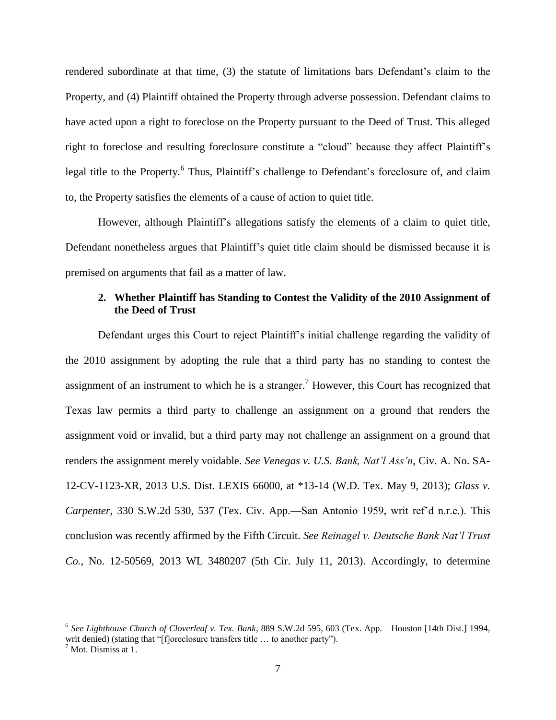rendered subordinate at that time, (3) the statute of limitations bars Defendant"s claim to the Property, and (4) Plaintiff obtained the Property through adverse possession. Defendant claims to have acted upon a right to foreclose on the Property pursuant to the Deed of Trust. This alleged right to foreclose and resulting foreclosure constitute a "cloud" because they affect Plaintiff's legal title to the Property.<sup>6</sup> Thus, Plaintiff's challenge to Defendant's foreclosure of, and claim to, the Property satisfies the elements of a cause of action to quiet title.

However, although Plaintiff"s allegations satisfy the elements of a claim to quiet title, Defendant nonetheless argues that Plaintiff"s quiet title claim should be dismissed because it is premised on arguments that fail as a matter of law.

# **2. Whether Plaintiff has Standing to Contest the Validity of the 2010 Assignment of the Deed of Trust**

Defendant urges this Court to reject Plaintiff"s initial challenge regarding the validity of the 2010 assignment by adopting the rule that a third party has no standing to contest the assignment of an instrument to which he is a stranger.<sup>7</sup> However, this Court has recognized that Texas law permits a third party to challenge an assignment on a ground that renders the assignment void or invalid, but a third party may not challenge an assignment on a ground that renders the assignment merely voidable. *See Venegas v. U.S. Bank, Nat'l Ass'n*, Civ. A. No. SA-12-CV-1123-XR, 2013 U.S. Dist. LEXIS 66000, at \*13-14 (W.D. Tex. May 9, 2013); *Glass v. Carpenter*, 330 S.W.2d 530, 537 (Tex. Civ. App.—San Antonio 1959, writ ref"d n.r.e.). This conclusion was recently affirmed by the Fifth Circuit. *See Reinagel v. Deutsche Bank Nat'l Trust Co.*, No. 12-50569, 2013 WL 3480207 (5th Cir. July 11, 2013). Accordingly, to determine

<sup>6</sup> *See Lighthouse Church of Cloverleaf v. Tex. Bank*, 889 S.W.2d 595, 603 (Tex. App.—Houston [14th Dist.] 1994, writ denied) (stating that "[f]oreclosure transfers title ... to another party").

 $<sup>7</sup>$  Mot. Dismiss at 1.</sup>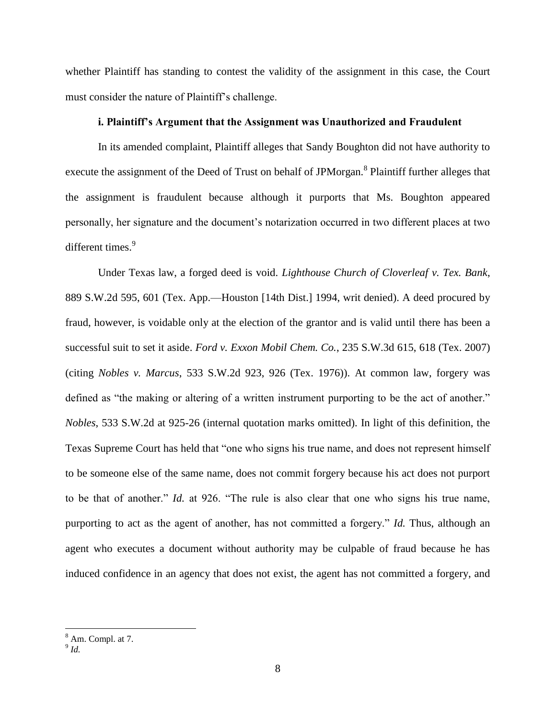whether Plaintiff has standing to contest the validity of the assignment in this case, the Court must consider the nature of Plaintiff"s challenge.

# **i. Plaintiff's Argument that the Assignment was Unauthorized and Fraudulent**

In its amended complaint, Plaintiff alleges that Sandy Boughton did not have authority to execute the assignment of the Deed of Trust on behalf of JPMorgan.<sup>8</sup> Plaintiff further alleges that the assignment is fraudulent because although it purports that Ms. Boughton appeared personally, her signature and the document"s notarization occurred in two different places at two different times.<sup>9</sup>

Under Texas law, a forged deed is void. *Lighthouse Church of Cloverleaf v. Tex. Bank*, 889 S.W.2d 595, 601 (Tex. App.—Houston [14th Dist.] 1994, writ denied). A deed procured by fraud, however, is voidable only at the election of the grantor and is valid until there has been a successful suit to set it aside. *Ford v. Exxon Mobil Chem. Co.*, 235 S.W.3d 615, 618 (Tex. 2007) (citing *Nobles v. Marcus*, 533 S.W.2d 923, 926 (Tex. 1976)). At common law, forgery was defined as "the making or altering of a written instrument purporting to be the act of another." *Nobles*, 533 S.W.2d at 925-26 (internal quotation marks omitted). In light of this definition, the Texas Supreme Court has held that "one who signs his true name, and does not represent himself to be someone else of the same name, does not commit forgery because his act does not purport to be that of another." *Id.* at 926. "The rule is also clear that one who signs his true name, purporting to act as the agent of another, has not committed a forgery." *Id.* Thus, although an agent who executes a document without authority may be culpable of fraud because he has induced confidence in an agency that does not exist, the agent has not committed a forgery, and

<sup>8</sup> Am. Compl. at 7.

<sup>9</sup> *Id.*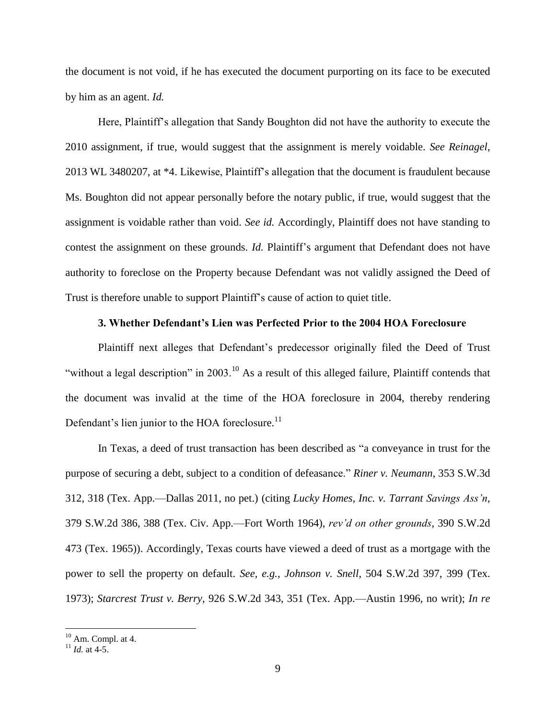the document is not void, if he has executed the document purporting on its face to be executed by him as an agent. *Id.*

Here, Plaintiff"s allegation that Sandy Boughton did not have the authority to execute the 2010 assignment, if true, would suggest that the assignment is merely voidable. *See Reinagel*, 2013 WL 3480207, at \*4. Likewise, Plaintiff"s allegation that the document is fraudulent because Ms. Boughton did not appear personally before the notary public, if true, would suggest that the assignment is voidable rather than void. *See id.* Accordingly, Plaintiff does not have standing to contest the assignment on these grounds. *Id.* Plaintiff's argument that Defendant does not have authority to foreclose on the Property because Defendant was not validly assigned the Deed of Trust is therefore unable to support Plaintiff"s cause of action to quiet title.

### **3. Whether Defendant's Lien was Perfected Prior to the 2004 HOA Foreclosure**

Plaintiff next alleges that Defendant's predecessor originally filed the Deed of Trust "without a legal description" in 2003.<sup>10</sup> As a result of this alleged failure, Plaintiff contends that the document was invalid at the time of the HOA foreclosure in 2004, thereby rendering Defendant's lien junior to the HOA foreclosure.<sup>11</sup>

In Texas, a deed of trust transaction has been described as "a conveyance in trust for the purpose of securing a debt, subject to a condition of defeasance." *Riner v. Neumann*, 353 S.W.3d 312, 318 (Tex. App.—Dallas 2011, no pet.) (citing *Lucky Homes, Inc. v. Tarrant Savings Ass'n*, 379 S.W.2d 386, 388 (Tex. Civ. App.—Fort Worth 1964), *rev'd on other grounds*, 390 S.W.2d 473 (Tex. 1965)). Accordingly, Texas courts have viewed a deed of trust as a mortgage with the power to sell the property on default. *See, e.g.*, *Johnson v. Snell*, 504 S.W.2d 397, 399 (Tex. 1973); *Starcrest Trust v. Berry*, 926 S.W.2d 343, 351 (Tex. App.—Austin 1996, no writ); *In re* 

 $10$  Am. Compl. at 4.

<sup>11</sup> *Id.* at 4-5.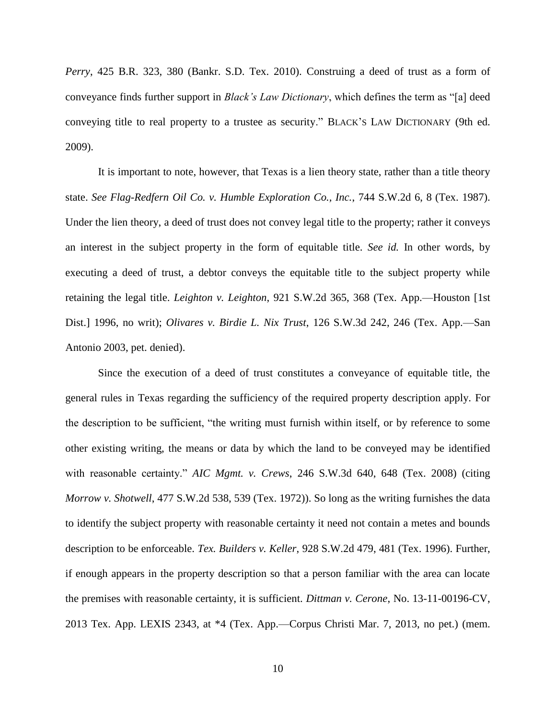*Perry*, 425 B.R. 323, 380 (Bankr. S.D. Tex. 2010). Construing a deed of trust as a form of conveyance finds further support in *Black's Law Dictionary*, which defines the term as "[a] deed conveying title to real property to a trustee as security." BLACK"S LAW DICTIONARY (9th ed. 2009).

It is important to note, however, that Texas is a lien theory state, rather than a title theory state. *See Flag-Redfern Oil Co. v. Humble Exploration Co., Inc.*, 744 S.W.2d 6, 8 (Tex. 1987). Under the lien theory, a deed of trust does not convey legal title to the property; rather it conveys an interest in the subject property in the form of equitable title. *See id.* In other words, by executing a deed of trust, a debtor conveys the equitable title to the subject property while retaining the legal title. *Leighton v. Leighton*, 921 S.W.2d 365, 368 (Tex. App.—Houston [1st Dist.] 1996, no writ); *Olivares v. Birdie L. Nix Trust*, 126 S.W.3d 242, 246 (Tex. App.—San Antonio 2003, pet. denied).

Since the execution of a deed of trust constitutes a conveyance of equitable title, the general rules in Texas regarding the sufficiency of the required property description apply. For the description to be sufficient, "the writing must furnish within itself, or by reference to some other existing writing, the means or data by which the land to be conveyed may be identified with reasonable certainty." *AIC Mgmt. v. Crews*, 246 S.W.3d 640, 648 (Tex. 2008) (citing *Morrow v. Shotwell*, 477 S.W.2d 538, 539 (Tex. 1972)). So long as the writing furnishes the data to identify the subject property with reasonable certainty it need not contain a metes and bounds description to be enforceable. *Tex. Builders v. Keller*, 928 S.W.2d 479, 481 (Tex. 1996). Further, if enough appears in the property description so that a person familiar with the area can locate the premises with reasonable certainty, it is sufficient. *Dittman v. Cerone*, No. 13-11-00196-CV, 2013 Tex. App. LEXIS 2343, at \*4 (Tex. App.—Corpus Christi Mar. 7, 2013, no pet.) (mem.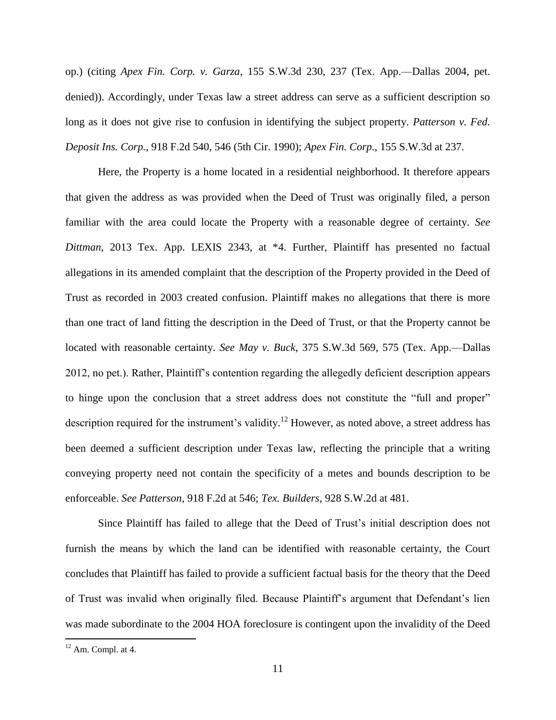op.) (citing *Apex Fin. Corp. v. Garza*, 155 S.W.3d 230, 237 (Tex. App.—Dallas 2004, pet. denied)). Accordingly, under Texas law a street address can serve as a sufficient description so long as it does not give rise to confusion in identifying the subject property. *Patterson v. Fed. Deposit Ins. Corp.*, 918 F.2d 540, 546 (5th Cir. 1990); *Apex Fin. Corp.*, 155 S.W.3d at 237.

Here, the Property is a home located in a residential neighborhood. It therefore appears that given the address as was provided when the Deed of Trust was originally filed, a person familiar with the area could locate the Property with a reasonable degree of certainty. *See Dittman*, 2013 Tex. App. LEXIS 2343, at \*4. Further, Plaintiff has presented no factual allegations in its amended complaint that the description of the Property provided in the Deed of Trust as recorded in 2003 created confusion. Plaintiff makes no allegations that there is more than one tract of land fitting the description in the Deed of Trust, or that the Property cannot be located with reasonable certainty. *See May v. Buck*, 375 S.W.3d 569, 575 (Tex. App.—Dallas 2012, no pet.). Rather, Plaintiff"s contention regarding the allegedly deficient description appears to hinge upon the conclusion that a street address does not constitute the "full and proper" description required for the instrument's validity.<sup>12</sup> However, as noted above, a street address has been deemed a sufficient description under Texas law, reflecting the principle that a writing conveying property need not contain the specificity of a metes and bounds description to be enforceable. *See Patterson*, 918 F.2d at 546; *Tex. Builders*, 928 S.W.2d at 481.

Since Plaintiff has failed to allege that the Deed of Trust"s initial description does not furnish the means by which the land can be identified with reasonable certainty, the Court concludes that Plaintiff has failed to provide a sufficient factual basis for the theory that the Deed of Trust was invalid when originally filed. Because Plaintiff's argument that Defendant's lien was made subordinate to the 2004 HOA foreclosure is contingent upon the invalidity of the Deed

 $12$  Am. Compl. at 4.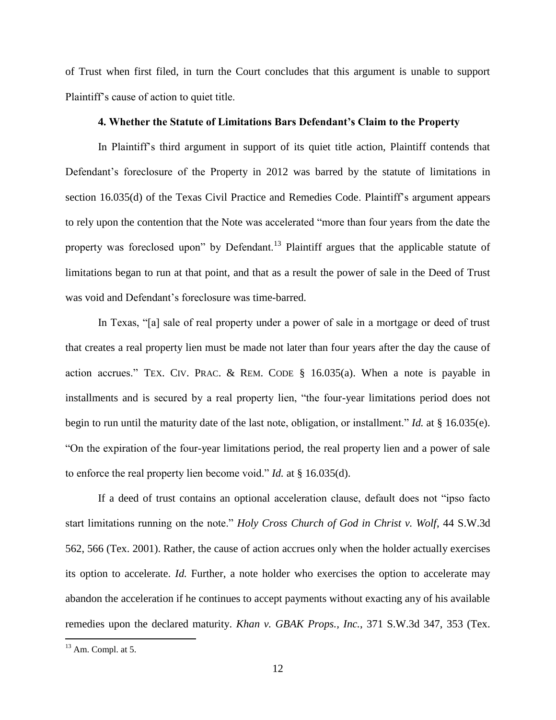of Trust when first filed, in turn the Court concludes that this argument is unable to support Plaintiff"s cause of action to quiet title.

## **4. Whether the Statute of Limitations Bars Defendant's Claim to the Property**

In Plaintiff"s third argument in support of its quiet title action, Plaintiff contends that Defendant's foreclosure of the Property in 2012 was barred by the statute of limitations in section 16.035(d) of the Texas Civil Practice and Remedies Code. Plaintiff's argument appears to rely upon the contention that the Note was accelerated "more than four years from the date the property was foreclosed upon" by Defendant.<sup>13</sup> Plaintiff argues that the applicable statute of limitations began to run at that point, and that as a result the power of sale in the Deed of Trust was void and Defendant's foreclosure was time-barred.

In Texas, "[a] sale of real property under a power of sale in a mortgage or deed of trust that creates a real property lien must be made not later than four years after the day the cause of action accrues." TEX. CIV. PRAC. & REM. CODE § 16.035(a). When a note is payable in installments and is secured by a real property lien, "the four-year limitations period does not begin to run until the maturity date of the last note, obligation, or installment." *Id.* at § 16.035(e). "On the expiration of the four-year limitations period, the real property lien and a power of sale to enforce the real property lien become void." *Id.* at § 16.035(d).

If a deed of trust contains an optional acceleration clause, default does not "ipso facto start limitations running on the note." *Holy Cross Church of God in Christ v. Wolf*, 44 S.W.3d 562, 566 (Tex. 2001). Rather, the cause of action accrues only when the holder actually exercises its option to accelerate. *Id.* Further, a note holder who exercises the option to accelerate may abandon the acceleration if he continues to accept payments without exacting any of his available remedies upon the declared maturity. *Khan v. GBAK Props., Inc.*, 371 S.W.3d 347, 353 (Tex.

 $13$  Am. Compl. at 5.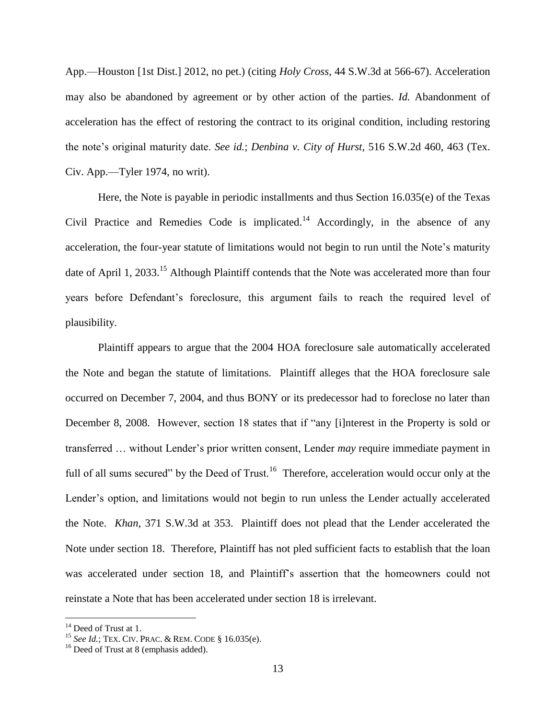App.—Houston [1st Dist.] 2012, no pet.) (citing *Holy Cross*, 44 S.W.3d at 566-67). Acceleration may also be abandoned by agreement or by other action of the parties. *Id.* Abandonment of acceleration has the effect of restoring the contract to its original condition, including restoring the note"s original maturity date. *See id.*; *Denbina v. City of Hurst*, 516 S.W.2d 460, 463 (Tex. Civ. App.—Tyler 1974, no writ).

Here, the Note is payable in periodic installments and thus Section 16.035(e) of the Texas Civil Practice and Remedies Code is implicated.<sup>14</sup> Accordingly, in the absence of any acceleration, the four-year statute of limitations would not begin to run until the Note"s maturity date of April 1, 2033.<sup>15</sup> Although Plaintiff contends that the Note was accelerated more than four years before Defendant's foreclosure, this argument fails to reach the required level of plausibility.

Plaintiff appears to argue that the 2004 HOA foreclosure sale automatically accelerated the Note and began the statute of limitations. Plaintiff alleges that the HOA foreclosure sale occurred on December 7, 2004, and thus BONY or its predecessor had to foreclose no later than December 8, 2008. However, section 18 states that if "any [i]nterest in the Property is sold or transferred … without Lender"s prior written consent, Lender *may* require immediate payment in full of all sums secured" by the Deed of Trust.<sup>16</sup> Therefore, acceleration would occur only at the Lender's option, and limitations would not begin to run unless the Lender actually accelerated the Note. *Khan*, 371 S.W.3d at 353. Plaintiff does not plead that the Lender accelerated the Note under section 18. Therefore, Plaintiff has not pled sufficient facts to establish that the loan was accelerated under section 18, and Plaintiff's assertion that the homeowners could not reinstate a Note that has been accelerated under section 18 is irrelevant.

<sup>&</sup>lt;sup>14</sup> Deed of Trust at 1.

<sup>15</sup> *See Id.*; TEX. CIV. PRAC. & REM. CODE § 16.035(e).

<sup>&</sup>lt;sup>16</sup> Deed of Trust at 8 (emphasis added).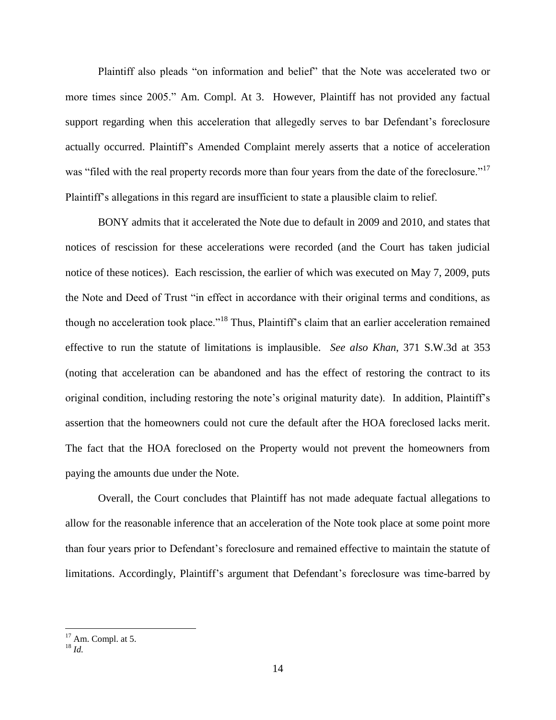Plaintiff also pleads "on information and belief" that the Note was accelerated two or more times since 2005." Am. Compl. At 3. However, Plaintiff has not provided any factual support regarding when this acceleration that allegedly serves to bar Defendant's foreclosure actually occurred. Plaintiff"s Amended Complaint merely asserts that a notice of acceleration was "filed with the real property records more than four years from the date of the foreclosure."<sup>17</sup> Plaintiff"s allegations in this regard are insufficient to state a plausible claim to relief.

BONY admits that it accelerated the Note due to default in 2009 and 2010, and states that notices of rescission for these accelerations were recorded (and the Court has taken judicial notice of these notices). Each rescission, the earlier of which was executed on May 7, 2009, puts the Note and Deed of Trust "in effect in accordance with their original terms and conditions, as though no acceleration took place."<sup>18</sup> Thus, Plaintiff"s claim that an earlier acceleration remained effective to run the statute of limitations is implausible. *See also Khan*, 371 S.W.3d at 353 (noting that acceleration can be abandoned and has the effect of restoring the contract to its original condition, including restoring the note"s original maturity date). In addition, Plaintiff"s assertion that the homeowners could not cure the default after the HOA foreclosed lacks merit. The fact that the HOA foreclosed on the Property would not prevent the homeowners from paying the amounts due under the Note.

Overall, the Court concludes that Plaintiff has not made adequate factual allegations to allow for the reasonable inference that an acceleration of the Note took place at some point more than four years prior to Defendant"s foreclosure and remained effective to maintain the statute of limitations. Accordingly, Plaintiff's argument that Defendant's foreclosure was time-barred by

 $17$  Am. Compl. at 5.

<sup>18</sup> *Id.*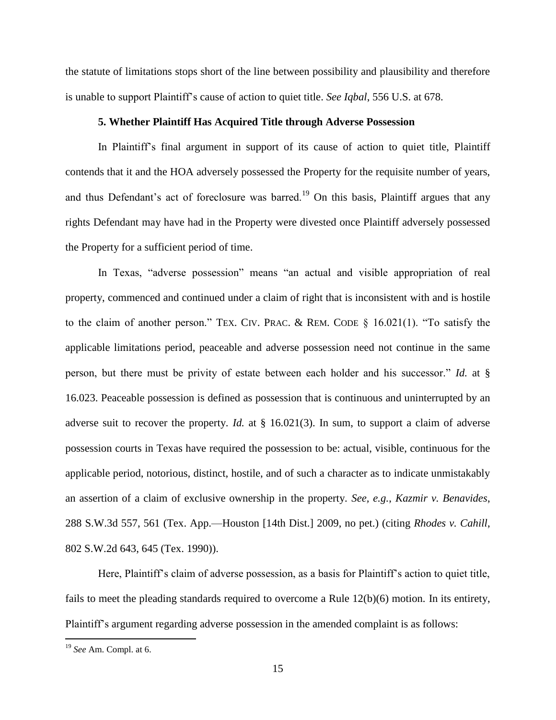the statute of limitations stops short of the line between possibility and plausibility and therefore is unable to support Plaintiff"s cause of action to quiet title. *See Iqbal*, 556 U.S. at 678.

#### **5. Whether Plaintiff Has Acquired Title through Adverse Possession**

In Plaintiff"s final argument in support of its cause of action to quiet title, Plaintiff contends that it and the HOA adversely possessed the Property for the requisite number of years, and thus Defendant's act of foreclosure was barred.<sup>19</sup> On this basis, Plaintiff argues that any rights Defendant may have had in the Property were divested once Plaintiff adversely possessed the Property for a sufficient period of time.

In Texas, "adverse possession" means "an actual and visible appropriation of real property, commenced and continued under a claim of right that is inconsistent with and is hostile to the claim of another person." TEX. CIV. PRAC. & REM. CODE § 16.021(1). "To satisfy the applicable limitations period, peaceable and adverse possession need not continue in the same person, but there must be privity of estate between each holder and his successor." *Id.* at § 16.023. Peaceable possession is defined as possession that is continuous and uninterrupted by an adverse suit to recover the property. *Id.* at § 16.021(3). In sum, to support a claim of adverse possession courts in Texas have required the possession to be: actual, visible, continuous for the applicable period, notorious, distinct, hostile, and of such a character as to indicate unmistakably an assertion of a claim of exclusive ownership in the property. *See, e.g.*, *Kazmir v. Benavides*, 288 S.W.3d 557, 561 (Tex. App.—Houston [14th Dist.] 2009, no pet.) (citing *Rhodes v. Cahill*, 802 S.W.2d 643, 645 (Tex. 1990)).

Here, Plaintiff"s claim of adverse possession, as a basis for Plaintiff"s action to quiet title, fails to meet the pleading standards required to overcome a Rule 12(b)(6) motion. In its entirety, Plaintiff's argument regarding adverse possession in the amended complaint is as follows:

<sup>19</sup> *See* Am. Compl. at 6.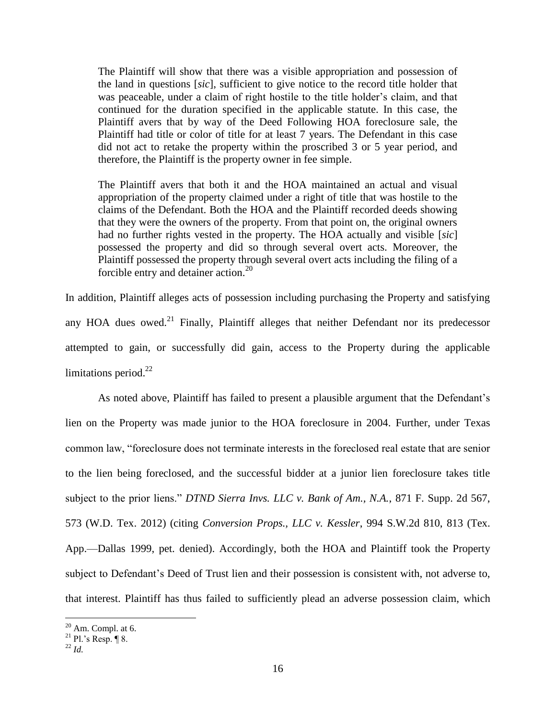The Plaintiff will show that there was a visible appropriation and possession of the land in questions [*sic*], sufficient to give notice to the record title holder that was peaceable, under a claim of right hostile to the title holder"s claim, and that continued for the duration specified in the applicable statute. In this case, the Plaintiff avers that by way of the Deed Following HOA foreclosure sale, the Plaintiff had title or color of title for at least 7 years. The Defendant in this case did not act to retake the property within the proscribed 3 or 5 year period, and therefore, the Plaintiff is the property owner in fee simple.

The Plaintiff avers that both it and the HOA maintained an actual and visual appropriation of the property claimed under a right of title that was hostile to the claims of the Defendant. Both the HOA and the Plaintiff recorded deeds showing that they were the owners of the property. From that point on, the original owners had no further rights vested in the property. The HOA actually and visible [*sic*] possessed the property and did so through several overt acts. Moreover, the Plaintiff possessed the property through several overt acts including the filing of a forcible entry and detainer action.<sup>20</sup>

In addition, Plaintiff alleges acts of possession including purchasing the Property and satisfying any HOA dues owed.<sup>21</sup> Finally, Plaintiff alleges that neither Defendant nor its predecessor attempted to gain, or successfully did gain, access to the Property during the applicable limitations period. $^{22}$ 

As noted above, Plaintiff has failed to present a plausible argument that the Defendant's lien on the Property was made junior to the HOA foreclosure in 2004. Further, under Texas common law, "foreclosure does not terminate interests in the foreclosed real estate that are senior to the lien being foreclosed, and the successful bidder at a junior lien foreclosure takes title subject to the prior liens." *DTND Sierra Invs. LLC v. Bank of Am., N.A.*, 871 F. Supp. 2d 567, 573 (W.D. Tex. 2012) (citing *Conversion Props., LLC v. Kessler*, 994 S.W.2d 810, 813 (Tex. App.—Dallas 1999, pet. denied). Accordingly, both the HOA and Plaintiff took the Property subject to Defendant's Deed of Trust lien and their possession is consistent with, not adverse to, that interest. Plaintiff has thus failed to sufficiently plead an adverse possession claim, which

 $20$  Am. Compl. at 6.

<sup>&</sup>lt;sup>21</sup> Pl.'s Resp.  $\P$  8.

 $^{22}$  *Id.*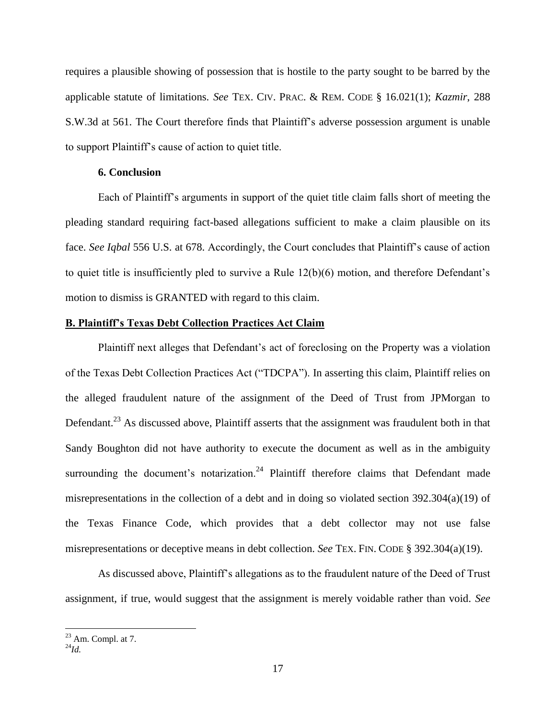requires a plausible showing of possession that is hostile to the party sought to be barred by the applicable statute of limitations. *See* TEX. CIV. PRAC. & REM. CODE § 16.021(1); *Kazmir*, 288 S.W.3d at 561. The Court therefore finds that Plaintiff"s adverse possession argument is unable to support Plaintiff"s cause of action to quiet title.

### **6. Conclusion**

Each of Plaintiff"s arguments in support of the quiet title claim falls short of meeting the pleading standard requiring fact-based allegations sufficient to make a claim plausible on its face. *See Iqbal* 556 U.S. at 678. Accordingly, the Court concludes that Plaintiff"s cause of action to quiet title is insufficiently pled to survive a Rule 12(b)(6) motion, and therefore Defendant"s motion to dismiss is GRANTED with regard to this claim.

# **B. Plaintiff's Texas Debt Collection Practices Act Claim**

Plaintiff next alleges that Defendant's act of foreclosing on the Property was a violation of the Texas Debt Collection Practices Act ("TDCPA"). In asserting this claim, Plaintiff relies on the alleged fraudulent nature of the assignment of the Deed of Trust from JPMorgan to Defendant.<sup>23</sup> As discussed above, Plaintiff asserts that the assignment was fraudulent both in that Sandy Boughton did not have authority to execute the document as well as in the ambiguity surrounding the document's notarization.<sup>24</sup> Plaintiff therefore claims that Defendant made misrepresentations in the collection of a debt and in doing so violated section 392.304(a)(19) of the Texas Finance Code, which provides that a debt collector may not use false misrepresentations or deceptive means in debt collection. *See* TEX. FIN. CODE § 392.304(a)(19).

As discussed above, Plaintiff"s allegations as to the fraudulent nature of the Deed of Trust assignment, if true, would suggest that the assignment is merely voidable rather than void. *See* 

 $23$  Am. Compl. at 7.

<sup>24</sup>*Id.*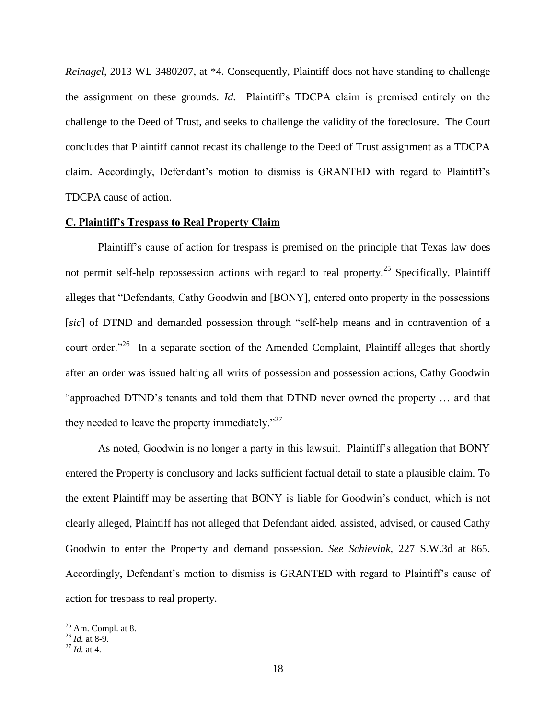*Reinagel*, 2013 WL 3480207, at \*4. Consequently, Plaintiff does not have standing to challenge the assignment on these grounds. *Id.* Plaintiff"s TDCPA claim is premised entirely on the challenge to the Deed of Trust, and seeks to challenge the validity of the foreclosure. The Court concludes that Plaintiff cannot recast its challenge to the Deed of Trust assignment as a TDCPA claim. Accordingly, Defendant's motion to dismiss is GRANTED with regard to Plaintiff's TDCPA cause of action.

## **C. Plaintiff's Trespass to Real Property Claim**

Plaintiff's cause of action for trespass is premised on the principle that Texas law does not permit self-help repossession actions with regard to real property.<sup>25</sup> Specifically, Plaintiff alleges that "Defendants, Cathy Goodwin and [BONY], entered onto property in the possessions [*sic*] of DTND and demanded possession through "self-help means and in contravention of a court order."<sup>26</sup> In a separate section of the Amended Complaint, Plaintiff alleges that shortly after an order was issued halting all writs of possession and possession actions, Cathy Goodwin "approached DTND"s tenants and told them that DTND never owned the property … and that they needed to leave the property immediately."<sup>27</sup>

As noted, Goodwin is no longer a party in this lawsuit. Plaintiff"s allegation that BONY entered the Property is conclusory and lacks sufficient factual detail to state a plausible claim. To the extent Plaintiff may be asserting that BONY is liable for Goodwin"s conduct, which is not clearly alleged, Plaintiff has not alleged that Defendant aided, assisted, advised, or caused Cathy Goodwin to enter the Property and demand possession. *See Schievink*, 227 S.W.3d at 865. Accordingly, Defendant's motion to dismiss is GRANTED with regard to Plaintiff's cause of action for trespass to real property.

 $25$  Am. Compl. at 8.

<sup>26</sup> *Id.* at 8-9.

<sup>27</sup> *Id.* at 4.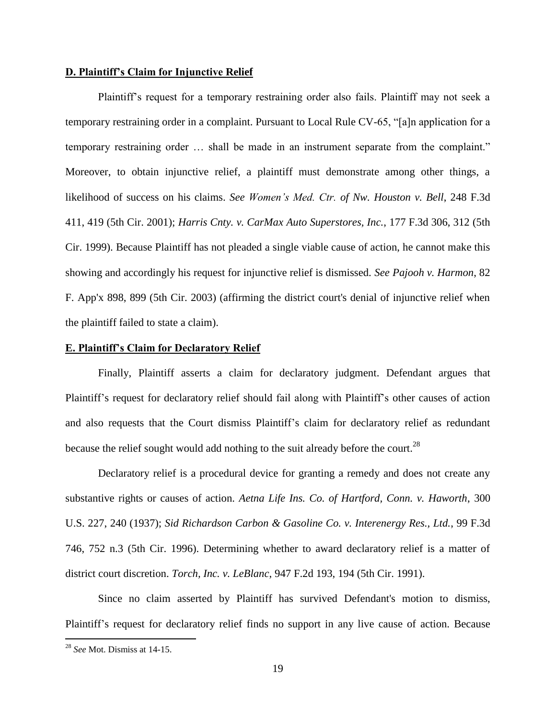# **D. Plaintiff's Claim for Injunctive Relief**

Plaintiff's request for a temporary restraining order also fails. Plaintiff may not seek a temporary restraining order in a complaint. Pursuant to Local Rule CV-65, "[a]n application for a temporary restraining order … shall be made in an instrument separate from the complaint." Moreover, to obtain injunctive relief, a plaintiff must demonstrate among other things, a likelihood of success on his claims. *See Women's Med. Ctr. of Nw. Houston v. Bell*, 248 F.3d 411, 419 (5th Cir. 2001); *Harris Cnty. v. CarMax Auto Superstores, Inc.*, 177 F.3d 306, 312 (5th Cir. 1999). Because Plaintiff has not pleaded a single viable cause of action, he cannot make this showing and accordingly his request for injunctive relief is dismissed. *See Pajooh v. Harmon*, 82 F. App'x 898, 899 (5th Cir. 2003) (affirming the district court's denial of injunctive relief when the plaintiff failed to state a claim).

# **E. Plaintiff's Claim for Declaratory Relief**

Finally, Plaintiff asserts a claim for declaratory judgment. Defendant argues that Plaintiff"s request for declaratory relief should fail along with Plaintiff"s other causes of action and also requests that the Court dismiss Plaintiff"s claim for declaratory relief as redundant because the relief sought would add nothing to the suit already before the court.<sup>28</sup>

Declaratory relief is a procedural device for granting a remedy and does not create any substantive rights or causes of action. *Aetna Life Ins. Co. of Hartford, Conn. v. Haworth*, 300 U.S. 227, 240 (1937); *Sid Richardson Carbon & Gasoline Co. v. Interenergy Res., Ltd.*, 99 F.3d 746, 752 n.3 (5th Cir. 1996). Determining whether to award declaratory relief is a matter of district court discretion. *Torch, Inc. v. LeBlanc*, 947 F.2d 193, 194 (5th Cir. 1991).

Since no claim asserted by Plaintiff has survived Defendant's motion to dismiss, Plaintiff"s request for declaratory relief finds no support in any live cause of action. Because

<sup>28</sup> *See* Mot. Dismiss at 14-15.